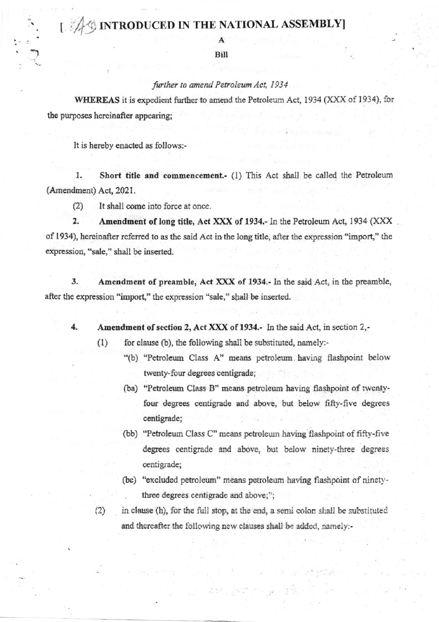## [ A INTRODUCED IN THE NATIONAL ASSEMBLY]

Bill

## further to amend Petroleum Act, 1934

WHEREAS it is expedient further to amend the Petroleum Act, 1934 (XXX of 1934), for the purposes hereinafter appearing;

It is hereby enacted as follows:-

Short title and commencement.- (1) This Act shall be called the Petroleum 1. (Amendment) Act, 2021.

 $(2)$ It shall come into force at once.

 $\overline{2}$ . Amendment of long title, Act XXX of 1934.- In the Petroleum Act, 1934 (XXX) of 1934), hereinafter referred to as the said Act in the long title, after the expression "import," the expression, "sale," shall be inserted.

3. Amendment of preamble, Act XXX of 1934. In the said Act, in the preamble, after the expression "import," the expression "sale," shall be inserted.

4. Amendment of section 2, Act XXX of 1934. In the said Act, in section 2,-

for clause (b), the following shall be substituted, namely:- $(1)$ 

- "(b) "Petroleum Class A" means petroleum having flashpoint below twenty-four degrees centigrade;
- (ba) "Petroleum Class B" means petroleum having flashpoint of twentyfour degrees centigrade and above, but below fifty-five degrees centigrade;
- (bb) "Petroleum Class C" means petroleum having flashpoint of fifty-five degrees centigrade and above, but below ninety-three degrees centigrade;
- (bc) "excluded petroleum" means petroleum having flashpoint of ninetythree degrees centigrade and above;";
- $(2)$
- in clause (h), for the full stop, at the end, a semi colon shall be substituted and thereafter the following new clauses shall be added, namely:-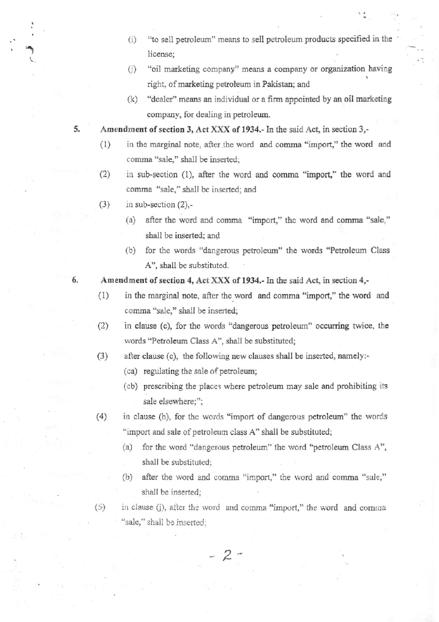- (i) "to sell petroleum" means to sell petroleum products specified in the license;
- (j) "oil marketing company" means a company or organization having right, of marketing petroteum in Pakistaa; and
- $(k)$  "dealer" means an individual or a firm appointed by an oil marketing company, for dealing in petroleum.

Amendment of section 3, Act XXX of 1934.- In the said Act, in section 3,-

- (1) in the marginal note, after the word and comma "import," the word and comma "sale," shall be inserted;
- $(2)$  in sub-section  $(1)$ , after the word and comma "import," the word and comma "sale," shall be inserted; and
- $(3)$  in sub-section  $(2)$ ,-

5.

- (a) after the word and comma "import," the word and comma "sale," shall be inserted; ard
- (b) for the words "dangerous petroleun" the words'Pctroleum Class A", shall be substituted.
- Amendment of section 4, Act XXX of 1934.- In the said Act, in section 4,-6.
	- $(1)$  in the marginal note, after the word and comma "import," the word and comma "sale," shall be inserted;
	- $(2)$  in clause (c), for the words "dangerous petroleum" occurring twice, the words "Petroleum Class A", shall be substituted;
	- (3) after clause (c), the following new clauses shall be inserted, namely:-
		- (ca) regulating the sale of petroleum;
		- (cb) prescribing the places where petroleum may sale and prohibiting its sale elsewhere;";
	- (4) in clause (h), for the words "import of dangerous petroleum" the words "import and sale of petroleum class A" shall be substituted;
		- (a) for the word "dangerous petroleum" the wcrd "pefoleum Class A", shall be substituted;
		- (b) after the word and comma "import," the word and comma "sale," shall be inserted;
	- $(5)$  in clause (j), after the word and comma "import," the word and comma "sale," shall be inserted;

 $-2-$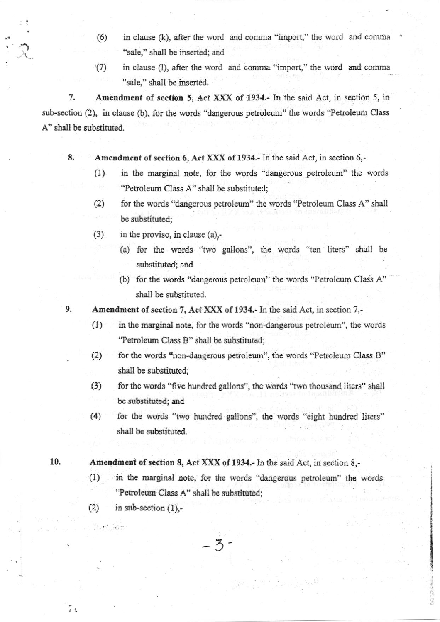- in clause (k), after the word and comma "import," the word and comma  $(6)$ "sale," shall be inserted; and
- in clause (I), after the word and comma "import," the word and comma  $(7)$ "sale," shall be inserted.

7. Amendment of section 5, Act XXX of 1934. In the said Act, in section 5, in sub-section (2), in clause (b), for the words "dangerous petroleum" the words "Petroleum Class A" shall be substituted.

8. Amendment of section 6, Act XXX of 1934.- In the said Act, in section 6,-

- $(1)$ in the marginal note, for the words "dangerous petroleum" the words "Petroleum Class A" shall be substituted;
- for the words "dangerous petroleum" the words "Petroleum Class A" shall  $(2)$ be substituted;
- $(3)$ in the proviso, in clause (a),-
	- (a) for the words "two gallons", the words "ten liters" shall be substituted; and
	- (b) for the words "dangerous petroleum" the words "Petroleum Class A" shall be substituted.
- 9. Amendment of section 7, Act XXX of 1934. In the said Act, in section 7,
	- in the marginal note, for the words "non-dangerous petroleum", the words  $(1)$ "Petroleum Class B" shall be substituted;
	- $(2)$ for the words "non-dangerous petroleum", the words "Petroleum Class B" shall be substituted;
	- $(3)$ for the words "five hundred gallons", the words "two thousand liters" shall be substituted; and
	- $(4)$ for the words "two hundred gallons", the words "eight hundred liters" shall be substituted.
- 10. Amendment of section 8, Act XXX of 1934. In the said Act, in section 8,-

 $-3-$ 

in the marginal note, for the words "dangerous petroleum" the words  $(1)$ "Petroleum Class A" shall be substituted;

**Berg** Walker

 $(2)$ in sub-section  $(1)$ ,-

 $\mathcal{L}$ 

 $\frac{1}{\ell}$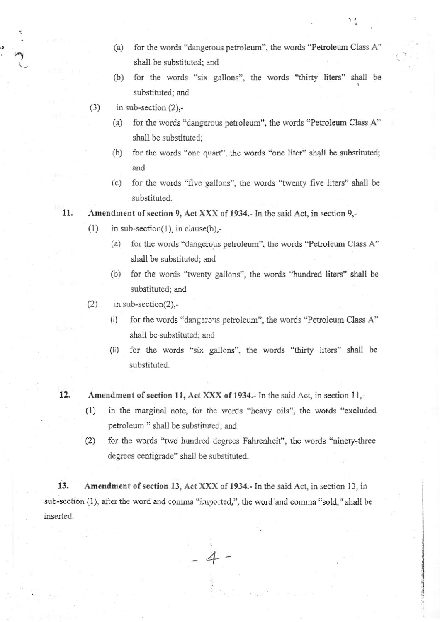- $(a)$ for the words "dangerous petroleum", the words "Petroleum Class A" shall be substituted; and
- for the words "six gallons", the words "thirty liters" shall be  $(b)$ substituted; and
- $(3)$ in sub-section  $(2)$ ,
	- for the words "dangerous petroleum", the words "Petroleum Class A"  $(a)$ shall be substituted;
	- (b) for the words "one quart", the words "one liter" shall be substituted; and
	- (c) for the words "five gallons", the words "twenty five liters" shall be substituted.

## 11. Amendment of section 9, Act XXX of 1934. In the said Act, in section 9,-

- $(1)$ in sub-section(1), in clause(b),-
	- (a) for the words "dangerous petroleum", the words "Petroleum Class A" shall be substituted; and
	- (b) for the words "twenty gallons", the words "hundred liters" shall be substituted; and
- $(2)$ in sub-section(2),
	- for the words "dangerous petroleum", the words "Petroleum Class A"  $(i)$ shall be substituted: and
	- for the words "six gallons", the words "thirty liters" shall be  $(ii)$ substituted.

12. Amendment of section 11, Act XXX of 1934.- In the said Act, in section 11,-

- $(1)$ in the marginal note, for the words "heavy oils", the words "excluded petroleum " shall be substituted; and
- for the words "two hundred degrees Fahrenheit", the words "ninety-three  $(2)$ degrees centigrade" shall be substituted.

13. Amendment of section 13, Act XXX of 1934.- In the said Act, in section 13, in sub-section (1), after the word and comma "imported,", the word and comma "sold," shall be inserted.

 $-4-$